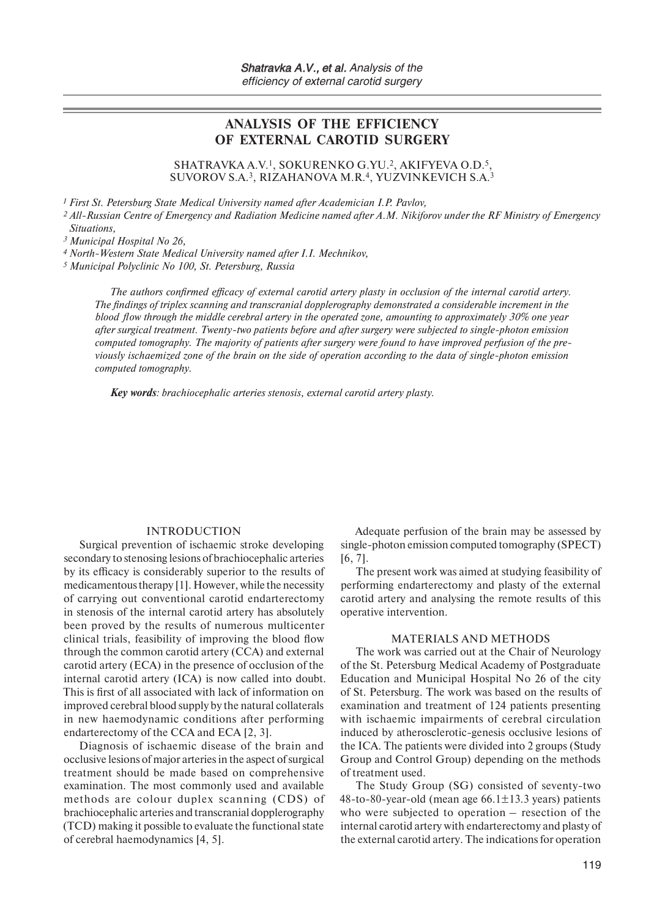# **ANALYSIS OF THE EFFICIENCY OF EXTERNAL CAROTID SURGERY**

SHATRAVKA A.V.1, SOKURENKO G.YU.2, AKIFYEVA O.D.5, SUVOROV S.A.3, RIZAHANOVA M.R.4, YUZVINKEVICH S.A.3

*1 First St. Petersburg State Medical University named after Academician I.P. Pavlov,*

*<sup>2</sup> All-Russian Centre of Emergency and Radiation Medicine named after A.M. Nikiforov under the RF Ministry of Emergency Situations,*

*3 Municipal Hospital No 26,*

*4 North-Western State Medical University named after I.I. Mechnikov,*

*5 Municipal Polyclinic No 100, St. Petersburg, Russia*

*The authors confirmed efficacy of external carotid artery plasty in occlusion of the internal carotid artery. The findings of triplex scanning and transcranial dopplerography demonstrated a considerable increment in the blood flow through the middle cerebral artery in the operated zone, amounting to approximately 30% one year after surgical treatment. Twenty-two patients before and after surgery were subjected to single-photon emission computed tomography. The majority of patients after surgery were found to have improved perfusion of the previously ischaemized zone of the brain on the side of operation according to the data of single-photon emission computed tomography.*

*Key words: brachiocephalic arteries stenosis, external carotid artery plasty.*

#### INTRODUCTION

Surgical prevention of ischaemic stroke developing secondary to stenosing lesions of brachiocephalic arteries by its efficacy is considerably superior to the results of medicamentous therapy [1]. However, while the necessity of carrying out conventional carotid endarterectomy in stenosis of the internal carotid artery has absolutely been proved by the results of numerous multicenter clinical trials, feasibility of improving the blood flow through the common carotid artery (CCA) and external carotid artery (ECA) in the presence of occlusion of the internal carotid artery (ICA) is now called into doubt. This is first of all associated with lack of information on improved cerebral blood supply by the natural collaterals in new haemodynamic conditions after performing endarterectomy of the CCA and ECA [2, 3].

Diagnosis of ischaemic disease of the brain and occlusive lesions of major arteries in the aspect of surgical treatment should be made based on comprehensive examination. The most commonly used and available methods are colour duplex scanning (CDS) of brachiocephalic arteries and transcranial dopplerography (TCD) making it possible to evaluate the functional state of cerebral haemodynamics [4, 5].

Adequate perfusion of the brain may be assessed by single-photon emission computed tomography (SPECT) [6, 7].

The present work was aimed at studying feasibility of performing endarterectomy and plasty of the external carotid artery and analysing the remote results of this operative intervention.

#### MATERIALS AND METHODS

The work was carried out at the Chair of Neurology of the St. Petersburg Medical Academy of Postgraduate Education and Municipal Hospital No 26 of the city of St. Petersburg. The work was based on the results of examination and treatment of 124 patients presenting with ischaemic impairments of cerebral circulation induced by atherosclerotic-genesis occlusive lesions of the ICA. The patients were divided into 2 groups (Study Group and Control Group) depending on the methods of treatment used.

The Study Group (SG) consisted of seventy-two 48-to-80-year-old (mean age  $66.1 \pm 13.3$  years) patients who were subjected to operation – resection of the internal carotid artery with endarterectomy and plasty of the external carotid artery. The indications for operation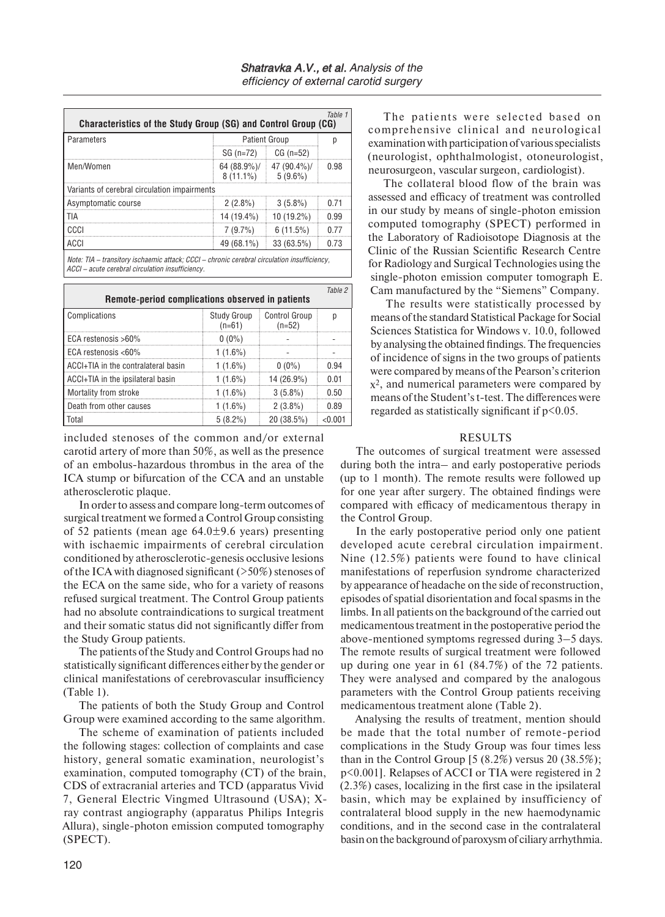|                                              |              | Table 1                                                                                                                  |
|----------------------------------------------|--------------|--------------------------------------------------------------------------------------------------------------------------|
|                                              |              |                                                                                                                          |
| SG (n=72)                                    | $CG (n=52)$  |                                                                                                                          |
| 8 (11.1%)                                    | $5(9.6\%)$   | 0.98                                                                                                                     |
| Variants of cerebral circulation impairments |              |                                                                                                                          |
| $2(2.8\%)$                                   | $3(5.8\%)$   | በ 71                                                                                                                     |
| 14 (19.4%)                                   | 10 (19.2%)   | በ 99                                                                                                                     |
| 7(9.7%)                                      | 6(11.5%)     | በ 77                                                                                                                     |
| 49 (68.1%)                                   | $33(63.5\%)$ | በ 73                                                                                                                     |
|                                              |              | Characteristics of the Study Group (SG) and Control Group (CG)<br><b>Patient Group</b><br>64 (88.9%)/ $\mid$ 47 (90.4%)/ |

*Note: TIA – transitory ischaemic attack; CCCI – chronic cerebral circulation insufficiency, ACCI – acute cerebral circulation insufficiency.*

| Remote-period complications observed in patients |                         |                           |      |  |  |  |
|--------------------------------------------------|-------------------------|---------------------------|------|--|--|--|
| Complications                                    | Study Group<br>$(n=61)$ | Control Group<br>$(n=52)$ |      |  |  |  |
| ECA restenosis $>60\%$                           | $0(0\%)$                |                           |      |  |  |  |
| ECA restenosis $<60\%$                           | 1 (1.6%)                |                           |      |  |  |  |
| ACCI+TIA in the contralateral basin              | 1 (1.6%)                | $0(0\%)$                  | በ 94 |  |  |  |
| ACCI+TIA in the ipsilateral basin                | $1(1.6\%)$              | 14 (26.9%)                | 0.01 |  |  |  |
| Mortality from stroke                            | 1 (1.6%)                | $3(5.8\%)$                | በ 50 |  |  |  |
| Death from other causes                          | 1 (1.6%)                | $2(3.8\%)$                | 0.89 |  |  |  |
| Total                                            | $5(8.2\%)$              | 20(38.5%)                 |      |  |  |  |

included stenoses of the common and/or external carotid artery of more than 50%, as well as the presence of an embolus-hazardous thrombus in the area of the ICA stump or bifurcation of the CCA and an unstable atherosclerotic plaque.

In order to assess and compare long-term outcomes of surgical treatment we formed a Control Group consisting of 52 patients (mean age  $64.0\pm9.6$  years) presenting with ischaemic impairments of cerebral circulation conditioned by atherosclerotic-genesis occlusive lesions of the ICA with diagnosed significant (>50%) stenoses of the ECA on the same side, who for a variety of reasons refused surgical treatment. The Control Group patients had no absolute contraindications to surgical treatment and their somatic status did not significantly differ from the Study Group patients.

The patients of the Study and Control Groups had no statistically significant differences either by the gender or clinical manifestations of cerebrovascular insufficiency (Table 1).

The patients of both the Study Group and Control Group were examined according to the same algorithm.

The scheme of examination of patients included the following stages: collection of complaints and case history, general somatic examination, neurologist's examination, computed tomography (CT) of the brain, CDS of extracranial arteries and TCD (apparatus Vivid 7, General Electric Vingmed Ultrasound (USA); Xray contrast angiography (apparatus Philips Integris Allura), single-photon emission computed tomography (SPECT).

The patients were selected based on comprehensive clinical and neurological examination with participation of various specialists (neurologist, ophthalmologist, otoneurologist, neurosurgeon, vascular surgeon, cardiologist).

The collateral blood flow of the brain was assessed and efficacy of treatment was controlled in our study by means of single-photon emission computed tomography (SPECT) performed in the Laboratory of Radioisotope Diagnosis at the Clinic of the Russian Scientific Research Centre for Radiology and Surgical Technologies using the single-photon emission computer tomograph E. Cam manufactured by the "Siemens" Company.

The results were statistically processed by means of the standard Statistical Package for Social Sciences Statistica for Windows v. 10.0, followed by analysing the obtained findings. The frequencies of incidence of signs in the two groups of patients were compared by means of the Pearson's criterion х2, and numerical parameters were compared by means of the Student's t-test. The differences were regarded as statistically significant if  $p<0.05$ .

### RESULTS

The outcomes of surgical treatment were assessed during both the intra– and early postoperative periods (up to 1 month). The remote results were followed up for one year after surgery. The obtained findings were compared with efficacy of medicamentous therapy in the Control Group.

In the early postoperative period only one patient developed acute cerebral circulation impairment. Nine (12.5%) patients were found to have clinical manifestations of reperfusion syndrome characterized by appearance of headache on the side of reconstruction, episodes of spatial disorientation and focal spasms in the limbs. In all patients on the background of the carried out medicamentous treatment in the postoperative period the above-mentioned symptoms regressed during 3–5 days. The remote results of surgical treatment were followed up during one year in 61 (84.7%) of the 72 patients. They were analysed and compared by the analogous parameters with the Control Group patients receiving medicamentous treatment alone (Table 2).

Analysing the results of treatment, mention should be made that the total number of remote-period complications in the Study Group was four times less than in the Control Group  $[5 (8.2\%)$  versus 20  $(38.5\%)$ ; p<0.001]. Relapses of ACCI or TIA were registered in 2 (2.3%) cases, localizing in the first case in the ipsilateral basin, which may be explained by insufficiency of contralateral blood supply in the new haemodynamic conditions, and in the second case in the contralateral basin on the background of paroxysm of ciliary arrhythmia.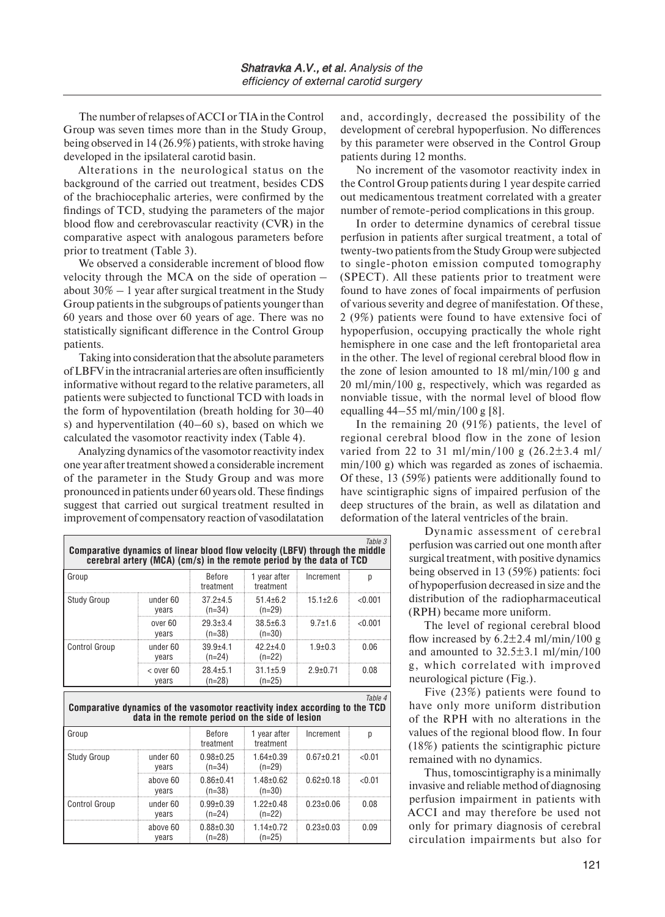The number of relapses of ACCI or TIA in the Control Group was seven times more than in the Study Group, being observed in 14 (26.9%) patients, with stroke having developed in the ipsilateral carotid basin.

Alterations in the neurological status on the background of the carried out treatment, besides CDS of the brachiocephalic arteries, were confirmed by the findings of TCD, studying the parameters of the major blood flow and cerebrovascular reactivity (CVR) in the comparative aspect with analogous parameters before prior to treatment (Table 3).

We observed a considerable increment of blood flow velocity through the MCA on the side of operation – about  $30\% - 1$  year after surgical treatment in the Study Group patients in the subgroups of patients younger than 60 years and those over 60 years of age. There was no statistically significant difference in the Control Group patients.

Taking into consideration that the absolute parameters of LBFV in the intracranial arteries are often insufficiently informative without regard to the relative parameters, all patients were subjected to functional TCD with loads in the form of hypoventilation (breath holding for 30–40 s) and hyperventilation (40–60 s), based on which we calculated the vasomotor reactivity index (Table 4).

Analyzing dynamics of the vasomotor reactivity index one year after treatment showed a considerable increment of the parameter in the Study Group and was more pronounced in patients under 60 years old. These findings suggest that carried out surgical treatment resulted in improvement of compensatory reaction of vasodilatation

and, accordingly, decreased the possibility of the development of cerebral hypoperfusion. No differences by this parameter were observed in the Control Group patients during 12 months.

No increment of the vasomotor reactivity index in the Control Group patients during 1 year despite carried out medicamentous treatment correlated with a greater number of remote-period complications in this group.

In order to determine dynamics of cerebral tissue perfusion in patients after surgical treatment, a total of twenty-two patients from the Study Group were subjected to single-photon emission computed tomography (SPECT). All these patients prior to treatment were found to have zones of focal impairments of perfusion of various severity and degree of manifestation. Of these, 2 (9%) patients were found to have extensive foci of hypoperfusion, occupying practically the whole right hemisphere in one case and the left frontoparietal area in the other. The level of regional cerebral blood flow in the zone of lesion amounted to 18 ml/min/100 g and 20 ml/min/100 g, respectively, which was regarded as nonviable tissue, with the normal level of blood flow equalling 44–55 ml/min/100 g [8].

In the remaining 20 (91%) patients, the level of regional cerebral blood flow in the zone of lesion varied from 22 to 31 ml/min/100 g  $(26.2 \pm 3.4 \text{ ml})$ min/100 g) which was regarded as zones of ischaemia. Of these, 13 (59%) patients were additionally found to have scintigraphic signs of impaired perfusion of the deep structures of the brain, as well as dilatation and deformation of the lateral ventricles of the brain.

*Table 3*

Dynamic assessment of cerebral perfusion was carried out one month after surgical treatment, with positive dynamics being observed in 13 (59%) patients: foci of hypoperfusion decreased in size and the distribution of the radiopharmaceutical (RPH) became more uniform.

The level of regional cerebral blood flow increased by  $6.2 \pm 2.4$  ml/min/100 g and amounted to  $32.5\pm3.1$  ml/min/100 g, which correlated with improved neurological picture (Fig.).

Five (23%) patients were found to have only more uniform distribution of the RPH with no alterations in the values of the regional blood flow. In four (18%) patients the scintigraphic picture remained with no dynamics.

Thus, tomoscintigraphy is a minimally invasive and reliable method of diagnosing perfusion impairment in patients with ACCI and may therefore be used not only for primary diagnosis of cerebral circulation impairments but also for

| Comparative dynamics of linear blood flow velocity (LBFV) through the middle | cerebral artery (MCA) (cm/s) in the remote period by the data of TCD |                             |                             |                 |         |
|------------------------------------------------------------------------------|----------------------------------------------------------------------|-----------------------------|-----------------------------|-----------------|---------|
| Group                                                                        |                                                                      | Before<br>treatment         | 1 year after<br>treatment   | Increment       | p       |
| <b>Study Group</b>                                                           | under 60<br>years                                                    | $37.2 + 4.5$<br>$(n=34)$    | $51.4 \pm 6.2$<br>$(n=29)$  | $15.1 \pm 2.6$  | < 0.001 |
|                                                                              | over 60<br>years                                                     | $29.3 \pm 3.4$<br>$(n=38)$  | $38.5 \pm 6.3$<br>$(n=30)$  | $97+16$         | < 0.001 |
| <b>Control Group</b>                                                         | under 60<br>years                                                    | $39.9 + 4.1$<br>$(n=24)$    | $42.2 + 4.0$<br>$(n=22)$    | $1.9 \pm 0.3$   | 0.06    |
|                                                                              | $<$ over 60<br>years                                                 | $28.4 \pm 5.1$<br>$(n=28)$  | $31.1 \pm 5.9$<br>$(n=25)$  | $2.9 \pm 0.71$  | 0.08    |
| Comparative dynamics of the vasomotor reactivity index according to the TCD  | data in the remote period on the side of lesion                      |                             |                             |                 | Table 4 |
| Group                                                                        |                                                                      | Before<br>treatment         | 1 year after<br>treatment   | Increment       | p       |
| Study Group                                                                  | under 60<br>years                                                    | $0.98 \pm 0.25$<br>$(n=34)$ | $1.64 \pm 0.39$<br>$(n=29)$ | $0.67 \pm 0.21$ | < 0.01  |
|                                                                              | above 60<br>years                                                    | $0.86 \pm 0.41$<br>$(n=38)$ | $1.48 \pm 0.62$<br>$(n=30)$ | $0.62 \pm 0.18$ | < 0.01  |

0.99±0.39 (n=24)

0.88±0.30  $(n=28)$ 

1.22±0.48 (n=22)

1.14±0.72 (n=25)

 $0.23 \pm 0.06$  0.08

 $0.23 \pm 0.03$  0.09

Control Group inder 60

L

years

above 60 years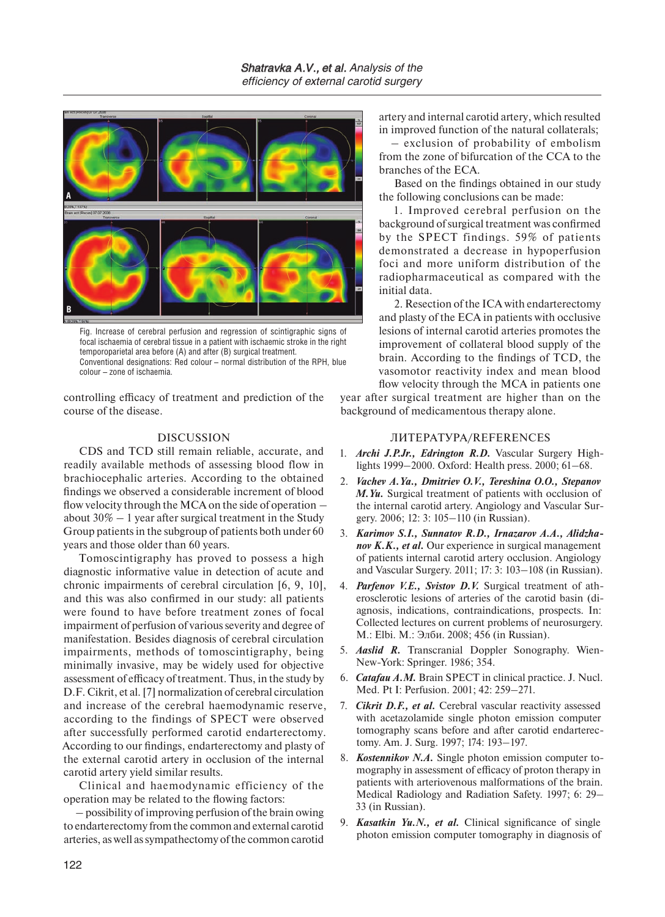

Fig. Increase of cerebral perfusion and regression of scintigraphic signs of focal ischaemia of cerebral tissue in a patient with ischaemic stroke in the right temporoparietal area before (A) and after (B) surgical treatment. Conventional designations: Red colour – normal distribution of the RPH, blue colour – zone of ischaemia.

controlling efficacy of treatment and prediction of the course of the disease.

## DISCUSSION

CDS and TCD still remain reliable, accurate, and readily available methods of assessing blood flow in brachiocephalic arteries. According to the obtained findings we observed a considerable increment of blood flow velocity through the MCA on the side of operation – about  $30\% - 1$  year after surgical treatment in the Study Group patients in the subgroup of patients both under 60 years and those older than 60 years.

Tomoscintigraphy has proved to possess a high diagnostic informative value in detection of acute and chronic impairments of cerebral circulation [6, 9, 10], and this was also confirmed in our study: all patients were found to have before treatment zones of focal impairment of perfusion of various severity and degree of manifestation. Besides diagnosis of cerebral circulation impairments, methods of tomoscintigraphy, being minimally invasive, may be widely used for objective assessment of efficacy of treatment. Thus, in the study by D.F. Cikrit, et al. [7] normalization of cerebral circulation and increase of the cerebral haemodynamic reserve, according to the findings of SPECT were observed after successfully performed carotid endarterectomy. According to our findings, endarterectomy and plasty of the external carotid artery in occlusion of the internal carotid artery yield similar results.

Clinical and haemodynamic efficiency of the operation may be related to the flowing factors:

– possibility of improving perfusion of the brain owing to endarterectomy from the common and external carotid arteries, as well as sympathectomy of the common carotid artery and internal carotid artery, which resulted in improved function of the natural collaterals;

– exclusion of probability of embolism from the zone of bifurcation of the CCA to the branches of the ECA.

Based on the findings obtained in our study the following conclusions can be made:

1. Improved cerebral perfusion on the background of surgical treatment was confirmed by the SPECT findings. 59% of patients demonstrated a decrease in hypoperfusion foci and more uniform distribution of the radiopharmaceutical as compared with the initial data.

2. Resection of the ICA with endarterectomy and plasty of the ECA in patients with occlusive lesions of internal carotid arteries promotes the improvement of collateral blood supply of the brain. According to the findings of TCD, the vasomotor reactivity index and mean blood flow velocity through the MCA in patients one

year after surgical treatment are higher than on the background of medicamentous therapy alone.

#### ЛИТЕРАТУРА/REFERENCES

- 1. *Archi J.P.Jr., Edrington R.D.* Vascular Surgery Highlights 1999–2000. Oxford: Health press. 2000; 61–68.
- 2. *Vachev A.Ya., Dmitriev O.V., Tereshina O.O., Stepanov M.Yu.* Surgical treatment of patients with occlusion of the internal carotid artery. Angiology and Vascular Surgery. 2006; 12: 3: 105–110 (in Russian).
- 3. *Karimov S.I., Sunnatov R.D., Irnazarov A.A., Alidzhanov K.K., et al.* Our experience in surgical management of patients internal carotid artery occlusion. Angiology and Vascular Surgery. 2011; 17: 3: 103–108 (in Russian).
- 4. *Parfenov V.E., Svistov D.V.* Surgical treatment of atherosclerotic lesions of arteries of the carotid basin (diagnosis, indications, contraindications, prospects. In: Collected lectures on current problems of neurosurgery. M.: Elbi. М.: Элби. 2008; 456 (in Russian).
- 5. *Aaslid R.* Transcranial Doppler Sonography. Wien-New-York: Springer. 1986; 354.
- 6. *Catafau A.M.* Brain SPECT in clinical practice. J. Nucl. Med. Pt I: Perfusion. 2001; 42: 259–271.
- 7. *Cikrit D.F., et al.* Cerebral vascular reactivity assessed with acetazolamide single photon emission computer tomography scans before and after carotid endarterectomy. Am. J. Surg. 1997; 174: 193–197.
- 8. *Kostennikov N.A.* Single photon emission computer tomography in assessment of efficacy of proton therapy in patients with arteriovenous malformations of the brain. Medical Radiology and Radiation Safety. 1997; 6: 29– 33 (in Russian).
- 9. *Kasatkin Yu.N., et al.* Clinical significance of single photon emission computer tomography in diagnosis of